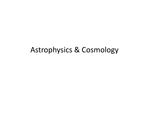## Astrophysics & Cosmology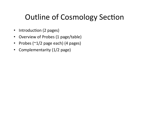## Outline of Cosmology Section

- Introduction (2 pages)
- Overview of Probes (1 page/table)
- Probes ( $\sim$ 1/2 page each) (4 pages)
- Complementarity (1/2 page)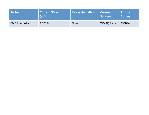| <b>Probe</b>          | <b>Current/Reach</b><br>(eV) | <b>Key systematics</b> | <b>Current</b><br><b>Surveys</b> | <b>Future</b><br>Surveys |
|-----------------------|------------------------------|------------------------|----------------------------------|--------------------------|
| <b>CMB Primordial</b> | 1.3/0.6                      | <b>None</b>            | <b>WMAP, Planck</b>              | <b>CMBPol</b>            |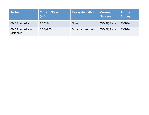| <b>Probe</b>                         | <b>Current/Reach</b><br>(eV) | <b>Key systematics</b> | <b>Current</b><br><b>Surveys</b> | <b>Future</b><br><b>Surveys</b> |
|--------------------------------------|------------------------------|------------------------|----------------------------------|---------------------------------|
| <b>CMB Primordial</b>                | 1.3/0.6                      | <b>None</b>            | <b>WMAP, Planck</b>              | <b>CMBPol</b>                   |
| CMB Primordial +<br><b>Distances</b> | 0.58/0.35                    | Distance measures      | <b>WMAP, Planck</b>              | <b>CMBPol</b>                   |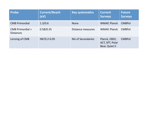| <b>Probe</b>                         | <b>Current/Reach</b><br>(eV) | <b>Key systematics</b> | <b>Current</b><br><b>Surveys</b>                   | <b>Future</b><br><b>Surveys</b> |
|--------------------------------------|------------------------------|------------------------|----------------------------------------------------|---------------------------------|
| <b>CMB Primordial</b>                | 1.3/0.6                      | <b>None</b>            | <b>WMAP, Planck</b>                                | <b>CMBPol</b>                   |
| CMB Primordial +<br><b>Distances</b> | 0.58/0.35                    | Distance measures      | <b>WMAP, Planck</b>                                | <b>CMBPol</b>                   |
| Lensing of CMB                       | INF/0.2-0.05                 | NG of Secondaries      | Planck, EBEX,<br>ACT, SPT, Polar<br>Bear, Quiet II | <b>CMBPol</b>                   |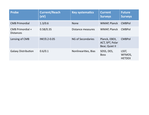| <b>Probe</b>                         | <b>Current/Reach</b><br>(eV) | <b>Key systematics</b> | <b>Current</b><br><b>Surveys</b>                   | <b>Future</b><br><b>Surveys</b>  |
|--------------------------------------|------------------------------|------------------------|----------------------------------------------------|----------------------------------|
| <b>CMB Primordial</b>                | 1.3/0.6                      | <b>None</b>            | <b>WMAP, Planck</b>                                | <b>CMBPol</b>                    |
| CMB Primordial +<br><b>Distances</b> | 0.58/0.35                    | Distance measures      | WMAP, Planck                                       | <b>CMBPol</b>                    |
| Lensing of CMB                       | $INF/0.2 - 0.05$             | NG of Secondaries      | Planck, EBEX,<br>ACT, SPT, Polar<br>Bear, Quiet II | <b>CMBPol</b>                    |
| <b>Galaxy Distribution</b>           | 0.6/0.1                      | Nonlinearities, Bias   | SDSS, DES,<br><b>Boss</b>                          | LSST,<br>WFMOS,<br><b>HETDEX</b> |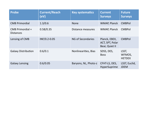| <b>Probe</b>                         | <b>Current/Reach</b><br>(eV) | <b>Key systematics</b> | <b>Current</b><br><b>Surveys</b>                   | <b>Future</b><br><b>Surveys</b>  |
|--------------------------------------|------------------------------|------------------------|----------------------------------------------------|----------------------------------|
| <b>CMB Primordial</b>                | 1.3/0.6                      | <b>None</b>            | <b>WMAP, Planck</b>                                | <b>CMBPol</b>                    |
| CMB Primordial +<br><b>Distances</b> | 0.58/0.35                    | Distance measures      | <b>WMAP, Planck</b>                                | <b>CMBPol</b>                    |
| Lensing of CMB                       | $INF/0.2 - 0.05$             | NG of Secondaries      | Planck, EBEX,<br>ACT, SPT, Polar<br>Bear, Quiet II | <b>CMBPol</b>                    |
| <b>Galaxy Distribution</b>           | 0.6/0.1                      | Nonlinearities, Bias   | SDSS, DES,<br><b>Boss</b>                          | LSST,<br>WFMOS,<br><b>HETDEX</b> |
| <b>Galaxy Lensing</b>                | 0.6/0.05                     | Baryons, NL, Photo-z   | CFHT-LS, DES,<br><b>HyperSuprime</b>               | LSST, Euclid,<br><b>JDEM</b>     |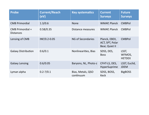| <b>Probe</b>                         | <b>Current/Reach</b><br>(eV) | <b>Key systematics</b>         | <b>Current</b><br><b>Surveys</b>                   | <b>Future</b><br><b>Surveys</b>  |
|--------------------------------------|------------------------------|--------------------------------|----------------------------------------------------|----------------------------------|
| <b>CMB Primordial</b>                | 1.3/0.6                      | <b>None</b>                    | <b>WMAP, Planck</b>                                | <b>CMBPol</b>                    |
| CMB Primordial +<br><b>Distances</b> | 0.58/0.35                    | Distance measures              | <b>WMAP, Planck</b>                                | <b>CMBPol</b>                    |
| Lensing of CMB                       | $INF/0.2 - 0.05$             | <b>NG of Secondaries</b>       | Planck, EBEX,<br>ACT, SPT, Polar<br>Bear, Quiet II | <b>CMBPol</b>                    |
| <b>Galaxy Distribution</b>           | 0.6/0.1                      | Nonlinearities, Bias           | SDSS, DES,<br><b>Boss</b>                          | LSST,<br>WFMOS,<br><b>HETDEX</b> |
| <b>Galaxy Lensing</b>                | 0.6/0.05                     | Baryons, NL, Photo-z           | CFHT-LS, DES,<br><b>HyperSuprime</b>               | LSST, Euclid,<br><b>JDEM</b>     |
| Lyman alpha                          | $0.2 - ?/0.1$                | Bias, Metals, QSO<br>continuum | SDSS, BOSS,<br><b>Keck</b>                         | <b>BigBOSS</b>                   |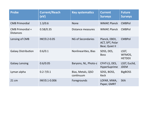| <b>Probe</b>                         | <b>Current/Reach</b><br>(eV) | <b>Key systematics</b>         | <b>Current</b><br><b>Surveys</b>                   | <b>Future</b><br><b>Surveys</b>  |
|--------------------------------------|------------------------------|--------------------------------|----------------------------------------------------|----------------------------------|
| <b>CMB Primordial</b>                | 1.3/0.6                      | <b>None</b>                    | <b>WMAP, Planck</b>                                | <b>CMBPol</b>                    |
| CMB Primordial +<br><b>Distances</b> | 0.58/0.35                    | Distance measures              | <b>WMAP, Planck</b>                                | <b>CMBPol</b>                    |
| Lensing of CMB                       | INF/0.2-0.05                 | <b>NG of Secondaries</b>       | Planck, EBEX,<br>ACT, SPT, Polar<br>Bear, Quiet II | <b>CMBPol</b>                    |
| <b>Galaxy Distribution</b>           | 0.6/0.1                      | Nonlinearities, Bias           | SDSS, DES,<br><b>Boss</b>                          | LSST,<br>WFMOS,<br><b>HETDEX</b> |
| <b>Galaxy Lensing</b>                | 0.6/0.05                     | Baryons, NL, Photo-z           | CFHT-LS, DES,<br><b>HyperSuprime</b>               | LSST, Euclid,<br><b>JDEM</b>     |
| Lyman alpha                          | $0.2 - ?/0.1$                | Bias, Metals, QSO<br>continuum | SDSS, BOSS,<br><b>Keck</b>                         | <b>BigBOSS</b>                   |
| 21 cm                                | INF/0.1-0.006                | Foregrounds                    | LOFAR, MWA,<br>Paper, GMRT                         | <b>SKA</b>                       |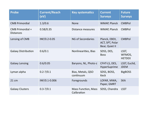| <b>Probe</b>                         | <b>Current/Reach</b><br>(eV) | <b>Key systematics</b>                    | <b>Current</b><br><b>Surveys</b>                   | <b>Future</b><br><b>Surveys</b>  |
|--------------------------------------|------------------------------|-------------------------------------------|----------------------------------------------------|----------------------------------|
| <b>CMB Primordial</b>                | 1.3/0.6                      | <b>None</b>                               | <b>WMAP, Planck</b>                                | <b>CMBPol</b>                    |
| CMB Primordial +<br><b>Distances</b> | 0.58/0.35                    | Distance measures                         | <b>WMAP, Planck</b>                                | <b>CMBPol</b>                    |
| Lensing of CMB                       | INF/0.2-0.05                 | <b>NG of Secondaries</b>                  | Planck, EBEX,<br>ACT, SPT, Polar<br>Bear, Quiet II | <b>CMBPol</b>                    |
| <b>Galaxy Distribution</b>           | 0.6/0.1                      | Nonlinearities, Bias                      | SDSS, DES,<br><b>Boss</b>                          | LSST,<br>WFMOS,<br><b>HETDEX</b> |
| <b>Galaxy Lensing</b>                | 0.6/0.05                     | Baryons, NL, Photo-z                      | CFHT-LS, DES,<br>HyperSuprime                      | LSST, Euclid,<br><b>JDEM</b>     |
| Lyman alpha                          | $0.2 - ?/0.1$                | Bias, Metals, QSO<br>continuum            | SDSS, BOSS,<br><b>Keck</b>                         | <b>BigBOSS</b>                   |
| 21 cm                                | INF/0.1-0.006                | Foregrounds                               | LOFAR, MWA,<br>Paper, GMRT                         | <b>SKA</b>                       |
| <b>Galaxy Clusters</b>               | $0.3 - ?/0.1$                | <b>Mass Function, Mass</b><br>Calibration | SDSS, Chandra                                      | <b>LSST</b>                      |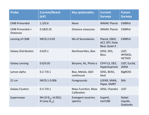| <b>Probe</b>                         | <b>Current/Reach</b><br>(eV)                             | <b>Key systematics</b>                    | <b>Current</b><br><b>Surveys</b>                   | <b>Future</b><br><b>Surveys</b>      |
|--------------------------------------|----------------------------------------------------------|-------------------------------------------|----------------------------------------------------|--------------------------------------|
| <b>CMB Primordial</b>                | 1.3/0.6                                                  | <b>None</b>                               | WMAP, Planck                                       | <b>CMBPol</b>                        |
| CMB Primordial +<br><b>Distances</b> | 0.58/0.35                                                | Distance measures                         | WMAP, Planck                                       | <b>CMBPol</b>                        |
| Lensing of CMB                       | INF/0.2-0.05                                             | <b>NG of Secondaries</b>                  | Planck, EBEX,<br>ACT, SPT, Polar<br>Bear, Quiet II | <b>CMBPol</b>                        |
| <b>Galaxy Distribution</b>           | 0.6/0.1                                                  | Nonlinearities, Bias                      | SDSS, DES,<br><b>Boss</b>                          | LSST,<br>WFMOS,<br><b>HETDEX</b>     |
| <b>Galaxy Lensing</b>                | 0.6/0.05                                                 | Baryons, NL, Photo-z                      | CFHT-LS, DES,<br>HyperSuprime                      | LSST, Euclid,<br><b>JDEM</b>         |
| Lyman alpha                          | $0.2 - ?/0.1$                                            | Bias, Metals, QSO<br>continuum            | SDSS, BOSS,<br><b>Keck</b>                         | <b>BigBOSS</b>                       |
| 21 cm                                | INF/0.1-0.006                                            | Foregrounds                               | LOFAR, MWA,<br>Paper, GMRT                         | <b>SKA</b>                           |
| <b>Galaxy Clusters</b>               | $0.3 - ?/0.1$                                            | <b>Mass Function, Mass</b><br>Calibration | SDSS, Chandra                                      | <b>LSST</b>                          |
| Supernovae                           | NH (if $\Theta_{13}$ > 0.001)<br>IH (any $\Theta_{13}$ ) | Emergent neutrino<br>spectra              | SuperK,<br><b>IceCUBE</b>                          | <b>Nobel</b><br>Liquids,<br>Gadzooks |